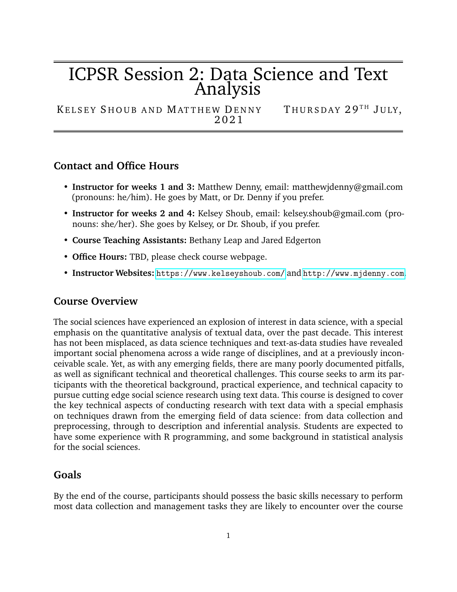# ICPSR Session 2: Data Science and Text Analysis

KELSEY SHOUB AND MATTHEW DENNY THURSDAY 29<sup>TH</sup> JULY, 2 0 2 1

## **Contact and Office Hours**

- **Instructor for weeks 1 and 3:** Matthew Denny, email: matthewjdenny@gmail.com (pronouns: he/him). He goes by Matt, or Dr. Denny if you prefer.
- **Instructor for weeks 2 and 4:** Kelsey Shoub, email: kelsey.shoub@gmail.com (pronouns: she/her). She goes by Kelsey, or Dr. Shoub, if you prefer.
- **Course Teaching Assistants:** Bethany Leap and Jared Edgerton
- **Office Hours:** TBD, please check course webpage.
- **Instructor Websites:** <https://www.kelseyshoub.com/> and <http://www.mjdenny.com>.

### **Course Overview**

The social sciences have experienced an explosion of interest in data science, with a special emphasis on the quantitative analysis of textual data, over the past decade. This interest has not been misplaced, as data science techniques and text-as-data studies have revealed important social phenomena across a wide range of disciplines, and at a previously inconceivable scale. Yet, as with any emerging fields, there are many poorly documented pitfalls, as well as significant technical and theoretical challenges. This course seeks to arm its participants with the theoretical background, practical experience, and technical capacity to pursue cutting edge social science research using text data. This course is designed to cover the key technical aspects of conducting research with text data with a special emphasis on techniques drawn from the emerging field of data science: from data collection and preprocessing, through to description and inferential analysis. Students are expected to have some experience with R programming, and some background in statistical analysis for the social sciences.

#### **Goals**

By the end of the course, participants should possess the basic skills necessary to perform most data collection and management tasks they are likely to encounter over the course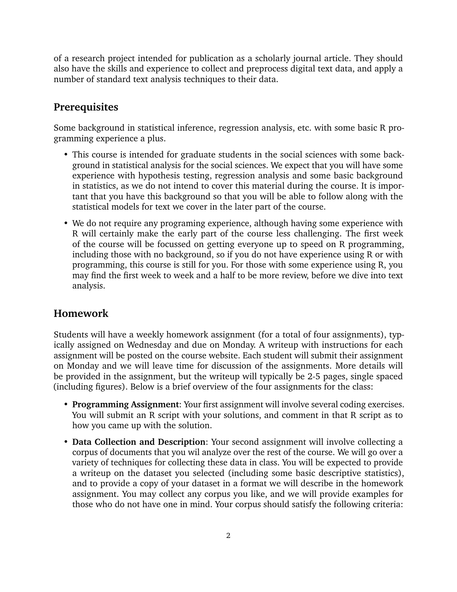of a research project intended for publication as a scholarly journal article. They should also have the skills and experience to collect and preprocess digital text data, and apply a number of standard text analysis techniques to their data.

## **Prerequisites**

Some background in statistical inference, regression analysis, etc. with some basic R programming experience a plus.

- This course is intended for graduate students in the social sciences with some background in statistical analysis for the social sciences. We expect that you will have some experience with hypothesis testing, regression analysis and some basic background in statistics, as we do not intend to cover this material during the course. It is important that you have this background so that you will be able to follow along with the statistical models for text we cover in the later part of the course.
- We do not require any programing experience, although having some experience with R will certainly make the early part of the course less challenging. The first week of the course will be focussed on getting everyone up to speed on R programming, including those with no background, so if you do not have experience using R or with programming, this course is still for you. For those with some experience using R, you may find the first week to week and a half to be more review, before we dive into text analysis.

# **Homework**

Students will have a weekly homework assignment (for a total of four assignments), typically assigned on Wednesday and due on Monday. A writeup with instructions for each assignment will be posted on the course website. Each student will submit their assignment on Monday and we will leave time for discussion of the assignments. More details will be provided in the assignment, but the writeup will typically be 2-5 pages, single spaced (including figures). Below is a brief overview of the four assignments for the class:

- **Programming Assignment**: Your first assignment will involve several coding exercises. You will submit an R script with your solutions, and comment in that R script as to how you came up with the solution.
- **Data Collection and Description**: Your second assignment will involve collecting a corpus of documents that you wil analyze over the rest of the course. We will go over a variety of techniques for collecting these data in class. You will be expected to provide a writeup on the dataset you selected (including some basic descriptive statistics), and to provide a copy of your dataset in a format we will describe in the homework assignment. You may collect any corpus you like, and we will provide examples for those who do not have one in mind. Your corpus should satisfy the following criteria: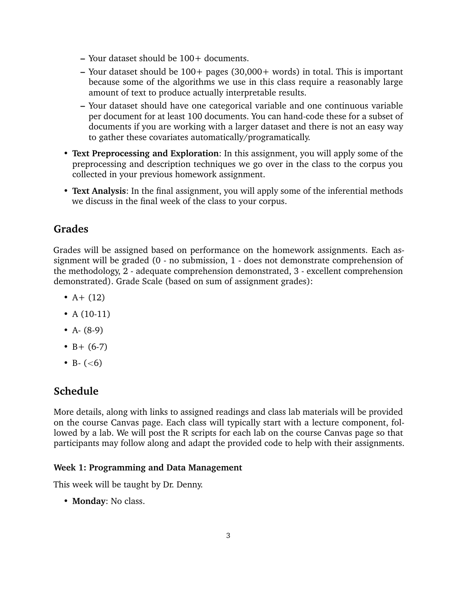- **–** Your dataset should be 100+ documents.
- **–** Your dataset should be 100+ pages (30,000+ words) in total. This is important because some of the algorithms we use in this class require a reasonably large amount of text to produce actually interpretable results.
- **–** Your dataset should have one categorical variable and one continuous variable per document for at least 100 documents. You can hand-code these for a subset of documents if you are working with a larger dataset and there is not an easy way to gather these covariates automatically/programatically.
- **Text Preprocessing and Exploration**: In this assignment, you will apply some of the preprocessing and description techniques we go over in the class to the corpus you collected in your previous homework assignment.
- **Text Analysis**: In the final assignment, you will apply some of the inferential methods we discuss in the final week of the class to your corpus.

## **Grades**

Grades will be assigned based on performance on the homework assignments. Each assignment will be graded (0 - no submission, 1 - does not demonstrate comprehension of the methodology, 2 - adequate comprehension demonstrated, 3 - excellent comprehension demonstrated). Grade Scale (based on sum of assignment grades):

- $A + (12)$
- A  $(10-11)$
- $A (8-9)$
- $B + (6-7)$
- B-  $(<6)$

# **Schedule**

More details, along with links to assigned readings and class lab materials will be provided on the course Canvas page. Each class will typically start with a lecture component, followed by a lab. We will post the R scripts for each lab on the course Canvas page so that participants may follow along and adapt the provided code to help with their assignments.

#### **Week 1: Programming and Data Management**

This week will be taught by Dr. Denny.

• **Monday**: No class.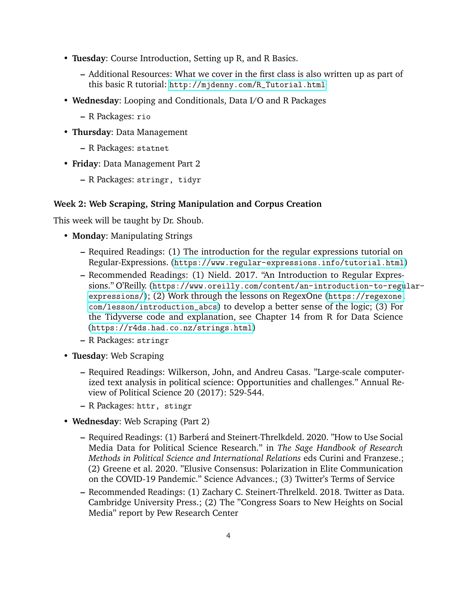- **Tuesday**: Course Introduction, Setting up R, and R Basics.
	- **–** Additional Resources: What we cover in the first class is also written up as part of this basic R tutorial: [http://mjdenny.com/R\\_Tutorial.html](http://mjdenny.com/R_Tutorial.html)
- **Wednesday**: Looping and Conditionals, Data I/O and R Packages
	- **–** R Packages: rio
- **Thursday**: Data Management
	- **–** R Packages: statnet
- **Friday**: Data Management Part 2
	- **–** R Packages: stringr, tidyr

#### **Week 2: Web Scraping, String Manipulation and Corpus Creation**

This week will be taught by Dr. Shoub.

- **Monday**: Manipulating Strings
	- **–** Required Readings: (1) The introduction for the regular expressions tutorial on Regular-Expressions. (<https://www.regular-expressions.info/tutorial.html>)
	- **–** Recommended Readings: (1) Nield. 2017. "An Introduction to Regular Expressions." O'Reilly. ([https://www.oreilly.com/content/an-introduction-to-regu](https://www.oreilly.com/content/an-introduction-to-regular-expressions/)lar[expressions/](https://www.oreilly.com/content/an-introduction-to-regular-expressions/)); (2) Work through the lessons on RegexOne ([https://regexone.](https://regexone.com/lesson/introduction_abcs) [com/lesson/introduction\\_abcs](https://regexone.com/lesson/introduction_abcs)) to develop a better sense of the logic; (3) For the Tidyverse code and explanation, see Chapter 14 from R for Data Science (<https://r4ds.had.co.nz/strings.html>)
	- **–** R Packages: stringr
- **Tuesday**: Web Scraping
	- **–** Required Readings: Wilkerson, John, and Andreu Casas. "Large-scale computerized text analysis in political science: Opportunities and challenges." Annual Review of Political Science 20 (2017): 529-544.
	- **–** R Packages: httr, stingr
- **Wednesday**: Web Scraping (Part 2)
	- **–** Required Readings: (1) Barbera and Steinert-Threlkdeld. 2020. "How to Use Social ´ Media Data for Political Science Research." in *The Sage Handbook of Research Methods in Political Science and International Relations* eds Curini and Franzese.; (2) Greene et al. 2020. "Elusive Consensus: Polarization in Elite Communication on the COVID-19 Pandemic." Science Advances.; (3) Twitter's Terms of Service
	- **–** Recommended Readings: (1) Zachary C. Steinert-Threlkeld. 2018. Twitter as Data. Cambridge University Press.; (2) The "Congress Soars to New Heights on Social Media" report by Pew Research Center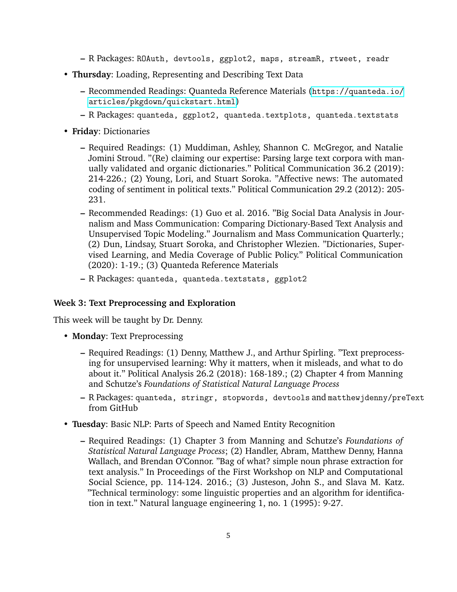- **–** R Packages: ROAuth, devtools, ggplot2, maps, streamR, rtweet, readr
- **Thursday**: Loading, Representing and Describing Text Data
	- **–** Recommended Readings: Quanteda Reference Materials ([https://quanteda.io/](https://quanteda.io/articles/pkgdown/quickstart.html) [articles/pkgdown/quickstart.html](https://quanteda.io/articles/pkgdown/quickstart.html))
	- **–** R Packages: quanteda, ggplot2, quanteda.textplots, quanteda.textstats
- **Friday**: Dictionaries
	- **–** Required Readings: (1) Muddiman, Ashley, Shannon C. McGregor, and Natalie Jomini Stroud. "(Re) claiming our expertise: Parsing large text corpora with manually validated and organic dictionaries." Political Communication 36.2 (2019): 214-226.; (2) Young, Lori, and Stuart Soroka. "Affective news: The automated coding of sentiment in political texts." Political Communication 29.2 (2012): 205- 231.
	- **–** Recommended Readings: (1) Guo et al. 2016. "Big Social Data Analysis in Journalism and Mass Communication: Comparing Dictionary-Based Text Analysis and Unsupervised Topic Modeling." Journalism and Mass Communication Quarterly.; (2) Dun, Lindsay, Stuart Soroka, and Christopher Wlezien. "Dictionaries, Supervised Learning, and Media Coverage of Public Policy." Political Communication (2020): 1-19.; (3) Quanteda Reference Materials
	- **–** R Packages: quanteda, quanteda.textstats, ggplot2

#### **Week 3: Text Preprocessing and Exploration**

This week will be taught by Dr. Denny.

- **Monday**: Text Preprocessing
	- **–** Required Readings: (1) Denny, Matthew J., and Arthur Spirling. "Text preprocessing for unsupervised learning: Why it matters, when it misleads, and what to do about it." Political Analysis 26.2 (2018): 168-189.; (2) Chapter 4 from Manning and Schutze's *Foundations of Statistical Natural Language Process*
	- **–** R Packages: quanteda, stringr, stopwords, devtools and matthewjdenny/preText from GitHub
- **Tuesday**: Basic NLP: Parts of Speech and Named Entity Recognition
	- **–** Required Readings: (1) Chapter 3 from Manning and Schutze's *Foundations of Statistical Natural Language Process*; (2) Handler, Abram, Matthew Denny, Hanna Wallach, and Brendan O'Connor. "Bag of what? simple noun phrase extraction for text analysis." In Proceedings of the First Workshop on NLP and Computational Social Science, pp. 114-124. 2016.; (3) Justeson, John S., and Slava M. Katz. "Technical terminology: some linguistic properties and an algorithm for identification in text." Natural language engineering 1, no. 1 (1995): 9-27.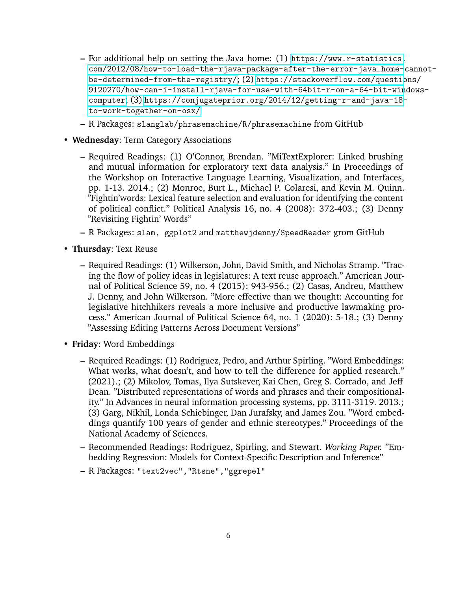- **–** For additional help on setting the Java home: (1) [https://www.r-statistics.](https://www.r-statistics.com/2012/08/how-to-load-the-rjava-package-after-the-error-java_home-cannot-be-determined-from-the-registry/) [com/2012/08/how-to-load-the-rjava-package-after-the-error-java\\_home-](https://www.r-statistics.com/2012/08/how-to-load-the-rjava-package-after-the-error-java_home-cannot-be-determined-from-the-registry/)cannot[be-determined-from-the-registry/](https://www.r-statistics.com/2012/08/how-to-load-the-rjava-package-after-the-error-java_home-cannot-be-determined-from-the-registry/); (2) [https://stackoverflow.com/questio](https://stackoverflow.com/questions/9120270/how-can-i-install-rjava-for-use-with-64bit-r-on-a-64-bit-windows-computer)ns/ [9120270/how-can-i-install-rjava-for-use-with-64bit-r-on-a-64-bit-win](https://stackoverflow.com/questions/9120270/how-can-i-install-rjava-for-use-with-64bit-r-on-a-64-bit-windows-computer)dows[computer](https://stackoverflow.com/questions/9120270/how-can-i-install-rjava-for-use-with-64bit-r-on-a-64-bit-windows-computer); (3) [https://conjugateprior.org/2014/12/getting-r-and-java-18](https://conjugateprior.org/2014/12/getting-r-and-java-18-to-work-together-on-osx/) [to-work-together-on-osx/](https://conjugateprior.org/2014/12/getting-r-and-java-18-to-work-together-on-osx/)
- **–** R Packages: slanglab/phrasemachine/R/phrasemachine from GitHub
- **Wednesday**: Term Category Associations
	- **–** Required Readings: (1) O'Connor, Brendan. "MiTextExplorer: Linked brushing and mutual information for exploratory text data analysis." In Proceedings of the Workshop on Interactive Language Learning, Visualization, and Interfaces, pp. 1-13. 2014.; (2) Monroe, Burt L., Michael P. Colaresi, and Kevin M. Quinn. "Fightin'words: Lexical feature selection and evaluation for identifying the content of political conflict." Political Analysis 16, no. 4 (2008): 372-403.; (3) Denny "Revisiting Fightin' Words"
	- **–** R Packages: slam, ggplot2 and matthewjdenny/SpeedReader grom GitHub
- **Thursday**: Text Reuse
	- **–** Required Readings: (1) Wilkerson, John, David Smith, and Nicholas Stramp. "Tracing the flow of policy ideas in legislatures: A text reuse approach." American Journal of Political Science 59, no. 4 (2015): 943-956.; (2) Casas, Andreu, Matthew J. Denny, and John Wilkerson. "More effective than we thought: Accounting for legislative hitchhikers reveals a more inclusive and productive lawmaking process." American Journal of Political Science 64, no. 1 (2020): 5-18.; (3) Denny "Assessing Editing Patterns Across Document Versions"
- **Friday**: Word Embeddings
	- **–** Required Readings: (1) Rodriguez, Pedro, and Arthur Spirling. "Word Embeddings: What works, what doesn't, and how to tell the difference for applied research." (2021).; (2) Mikolov, Tomas, Ilya Sutskever, Kai Chen, Greg S. Corrado, and Jeff Dean. "Distributed representations of words and phrases and their compositionality." In Advances in neural information processing systems, pp. 3111-3119. 2013.; (3) Garg, Nikhil, Londa Schiebinger, Dan Jurafsky, and James Zou. "Word embeddings quantify 100 years of gender and ethnic stereotypes." Proceedings of the National Academy of Sciences.
	- **–** Recommended Readings: Rodriguez, Spirling, and Stewart. *Working Paper.* "Embedding Regression: Models for Context-Specific Description and Inference"
	- **–** R Packages: "text2vec","Rtsne","ggrepel"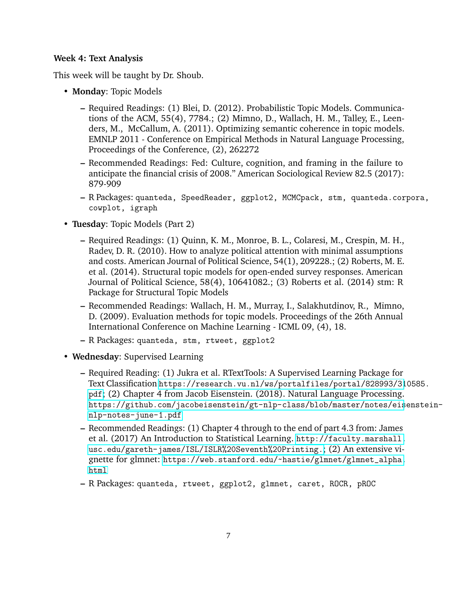#### **Week 4: Text Analysis**

This week will be taught by Dr. Shoub.

- **Monday**: Topic Models
	- **–** Required Readings: (1) Blei, D. (2012). Probabilistic Topic Models. Communications of the ACM, 55(4), 7784.; (2) Mimno, D., Wallach, H. M., Talley, E., Leenders, M., McCallum, A. (2011). Optimizing semantic coherence in topic models. EMNLP 2011 - Conference on Empirical Methods in Natural Language Processing, Proceedings of the Conference, (2), 262272
	- **–** Recommended Readings: Fed: Culture, cognition, and framing in the failure to anticipate the financial crisis of 2008." American Sociological Review 82.5 (2017): 879-909
	- **–** R Packages: quanteda, SpeedReader, ggplot2, MCMCpack, stm, quanteda.corpora, cowplot, igraph
- **Tuesday**: Topic Models (Part 2)
	- **–** Required Readings: (1) Quinn, K. M., Monroe, B. L., Colaresi, M., Crespin, M. H., Radev, D. R. (2010). How to analyze political attention with minimal assumptions and costs. American Journal of Political Science, 54(1), 209228.; (2) Roberts, M. E. et al. (2014). Structural topic models for open-ended survey responses. American Journal of Political Science, 58(4), 10641082.; (3) Roberts et al. (2014) stm: R Package for Structural Topic Models
	- **–** Recommended Readings: Wallach, H. M., Murray, I., Salakhutdinov, R., Mimno, D. (2009). Evaluation methods for topic models. Proceedings of the 26th Annual International Conference on Machine Learning - ICML 09, (4), 18.
	- **–** R Packages: quanteda, stm, rtweet, ggplot2
- **Wednesday**: Supervised Learning
	- **–** Required Reading: (1) Jukra et al. RTextTools: A Supervised Learning Package for Text Classification [https://research.vu.nl/ws/portalfiles/portal/828993/31](https: //research.vu.nl/ws/portalfiles/portal/828993/310585.pdf)0585. [pdf](https: //research.vu.nl/ws/portalfiles/portal/828993/310585.pdf); (2) Chapter 4 from Jacob Eisenstein. (2018). Natural Language Processing. [https://github.com/jacobeisenstein/gt-nlp-class/blob/master/notes/eis](https://github. com/jacobeisenstein/gt-nlp-class/blob/master/notes/eisenstein-nlp-notes-june-1.pdf)enstein[nlp-notes-june-1.pdf](https://github. com/jacobeisenstein/gt-nlp-class/blob/master/notes/eisenstein-nlp-notes-june-1.pdf)
	- **–** Recommended Readings: (1) Chapter 4 through to the end of part 4.3 from: James et al. (2017) An Introduction to Statistical Learning. [http://faculty.marshall.](http://faculty.marshall.usc.edu/gareth-james/ISL/ISLR%20Seventh%20Printing.) [usc.edu/gareth-james/ISL/ISLR%20Seventh%20Printing.](http://faculty.marshall.usc.edu/gareth-james/ISL/ISLR%20Seventh%20Printing.); (2) An extensive vignette for glmnet: [https://web.stanford.edu/~hastie/glmnet/glmnet\\_alpha.](https://web.stanford.edu/~hastie/glmnet/glmnet_alpha.html) [html](https://web.stanford.edu/~hastie/glmnet/glmnet_alpha.html)
	- **–** R Packages: quanteda, rtweet, ggplot2, glmnet, caret, ROCR, pROC